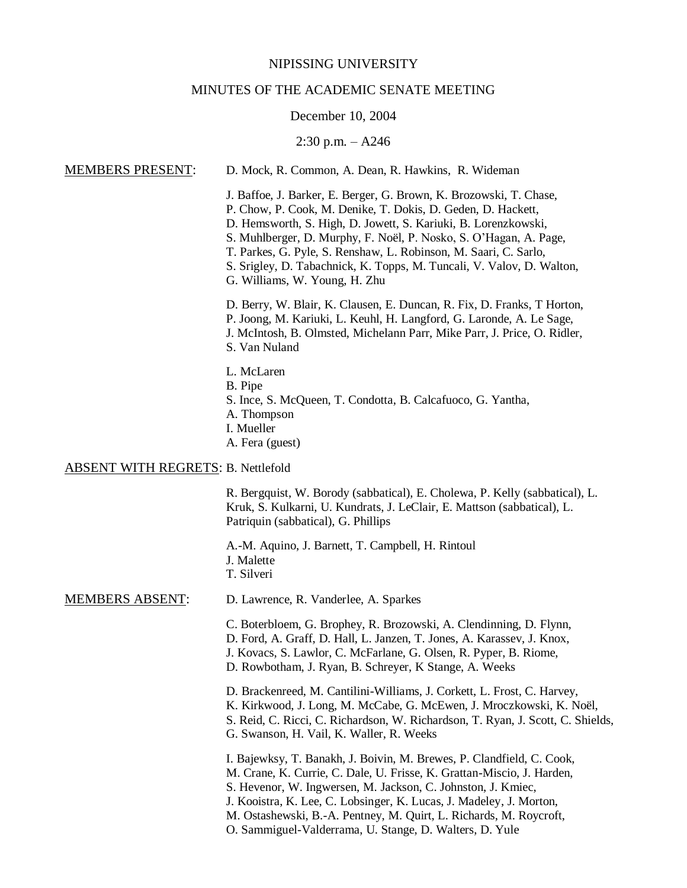### NIPISSING UNIVERSITY

### MINUTES OF THE ACADEMIC SENATE MEETING

#### December 10, 2004

### 2:30 p.m. – A246

# MEMBERS PRESENT: D. Mock, R. Common, A. Dean, R. Hawkins, R. Wideman J. Baffoe, J. Barker, E. Berger, G. Brown, K. Brozowski, T. Chase, P. Chow, P. Cook, M. Denike, T. Dokis, D. Geden, D. Hackett, D. Hemsworth, S. High, D. Jowett, S. Kariuki, B. Lorenzkowski, S. Muhlberger, D. Murphy, F. Noël, P. Nosko, S. O'Hagan, A. Page, T. Parkes, G. Pyle, S. Renshaw, L. Robinson, M. Saari, C. Sarlo, S. Srigley, D. Tabachnick, K. Topps, M. Tuncali, V. Valov, D. Walton, G. Williams, W. Young, H. Zhu D. Berry, W. Blair, K. Clausen, E. Duncan, R. Fix, D. Franks, T Horton, P. Joong, M. Kariuki, L. Keuhl, H. Langford, G. Laronde, A. Le Sage, J. McIntosh, B. Olmsted, Michelann Parr, Mike Parr, J. Price, O. Ridler, S. Van Nuland L. McLaren B. Pipe S. Ince, S. McQueen, T. Condotta, B. Calcafuoco, G. Yantha, A. Thompson I. Mueller A. Fera (guest) ABSENT WITH REGRETS: B. Nettlefold R. Bergquist, W. Borody (sabbatical), E. Cholewa, P. Kelly (sabbatical), L. Kruk, S. Kulkarni, U. Kundrats, J. LeClair, E. Mattson (sabbatical), L. Patriquin (sabbatical), G. Phillips

A.-M. Aquino, J. Barnett, T. Campbell, H. Rintoul J. Malette T. Silveri

## MEMBERS ABSENT: D. Lawrence, R. Vanderlee, A. Sparkes

C. Boterbloem, G. Brophey, R. Brozowski, A. Clendinning, D. Flynn, D. Ford, A. Graff, D. Hall, L. Janzen, T. Jones, A. Karassev, J. Knox, J. Kovacs, S. Lawlor, C. McFarlane, G. Olsen, R. Pyper, B. Riome, D. Rowbotham, J. Ryan, B. Schreyer, K Stange, A. Weeks

D. Brackenreed, M. Cantilini-Williams, J. Corkett, L. Frost, C. Harvey, K. Kirkwood, J. Long, M. McCabe, G. McEwen, J. Mroczkowski, K. Noël, S. Reid, C. Ricci, C. Richardson, W. Richardson, T. Ryan, J. Scott, C. Shields, G. Swanson, H. Vail, K. Waller, R. Weeks

I. Bajewksy, T. Banakh, J. Boivin, M. Brewes, P. Clandfield, C. Cook, M. Crane, K. Currie, C. Dale, U. Frisse, K. Grattan-Miscio, J. Harden, S. Hevenor, W. Ingwersen, M. Jackson, C. Johnston, J. Kmiec, J. Kooistra, K. Lee, C. Lobsinger, K. Lucas, J. Madeley, J. Morton, M. Ostashewski, B.-A. Pentney, M. Quirt, L. Richards, M. Roycroft, O. Sammiguel-Valderrama, U. Stange, D. Walters, D. Yule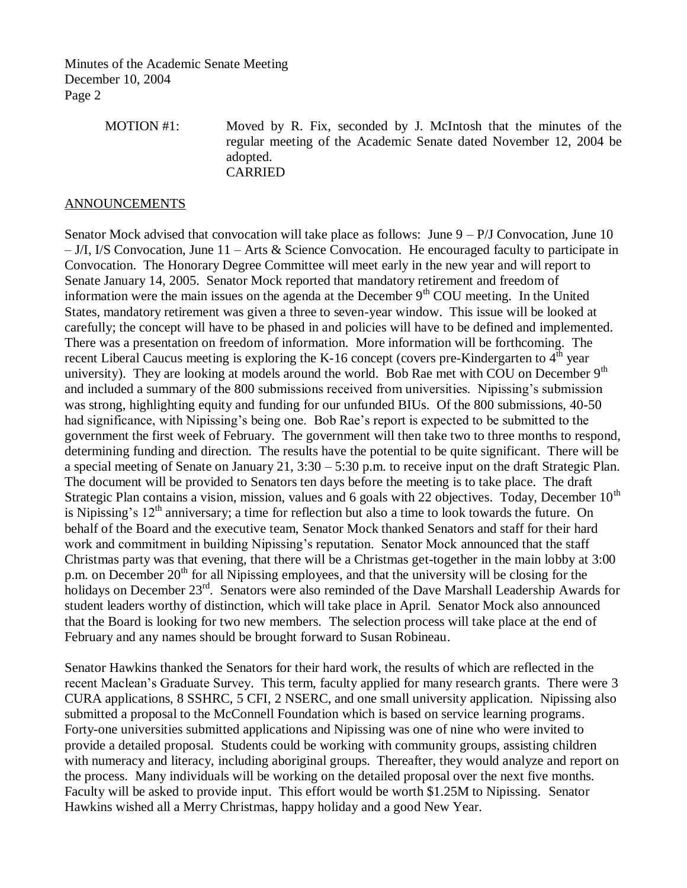> MOTION #1: Moved by R. Fix, seconded by J. McIntosh that the minutes of the regular meeting of the Academic Senate dated November 12, 2004 be adopted. CARRIED

### ANNOUNCEMENTS

Senator Mock advised that convocation will take place as follows: June  $9 - P/J$  Convocation, June 10 – J/I, I/S Convocation, June 11 – Arts & Science Convocation. He encouraged faculty to participate in Convocation. The Honorary Degree Committee will meet early in the new year and will report to Senate January 14, 2005. Senator Mock reported that mandatory retirement and freedom of information were the main issues on the agenda at the December  $9<sup>th</sup>$  COU meeting. In the United States, mandatory retirement was given a three to seven-year window. This issue will be looked at carefully; the concept will have to be phased in and policies will have to be defined and implemented. There was a presentation on freedom of information. More information will be forthcoming. The recent Liberal Caucus meeting is exploring the K-16 concept (covers pre-Kindergarten to  $4<sup>th</sup>$  year university). They are looking at models around the world. Bob Rae met with COU on December 9<sup>th</sup> and included a summary of the 800 submissions received from universities. Nipissing's submission was strong, highlighting equity and funding for our unfunded BIUs. Of the 800 submissions, 40-50 had significance, with Nipissing's being one. Bob Rae's report is expected to be submitted to the government the first week of February. The government will then take two to three months to respond, determining funding and direction. The results have the potential to be quite significant. There will be a special meeting of Senate on January 21, 3:30 – 5:30 p.m. to receive input on the draft Strategic Plan. The document will be provided to Senators ten days before the meeting is to take place. The draft Strategic Plan contains a vision, mission, values and 6 goals with 22 objectives. Today, December  $10<sup>th</sup>$ is Nipissing's  $12<sup>th</sup>$  anniversary; a time for reflection but also a time to look towards the future. On behalf of the Board and the executive team, Senator Mock thanked Senators and staff for their hard work and commitment in building Nipissing's reputation. Senator Mock announced that the staff Christmas party was that evening, that there will be a Christmas get-together in the main lobby at 3:00 p.m. on December 20<sup>th</sup> for all Nipissing employees, and that the university will be closing for the holidays on December 23<sup>rd</sup>. Senators were also reminded of the Dave Marshall Leadership Awards for student leaders worthy of distinction, which will take place in April. Senator Mock also announced that the Board is looking for two new members. The selection process will take place at the end of February and any names should be brought forward to Susan Robineau.

Senator Hawkins thanked the Senators for their hard work, the results of which are reflected in the recent Maclean's Graduate Survey. This term, faculty applied for many research grants. There were 3 CURA applications, 8 SSHRC, 5 CFI, 2 NSERC, and one small university application. Nipissing also submitted a proposal to the McConnell Foundation which is based on service learning programs. Forty-one universities submitted applications and Nipissing was one of nine who were invited to provide a detailed proposal. Students could be working with community groups, assisting children with numeracy and literacy, including aboriginal groups. Thereafter, they would analyze and report on the process. Many individuals will be working on the detailed proposal over the next five months. Faculty will be asked to provide input. This effort would be worth \$1.25M to Nipissing. Senator Hawkins wished all a Merry Christmas, happy holiday and a good New Year.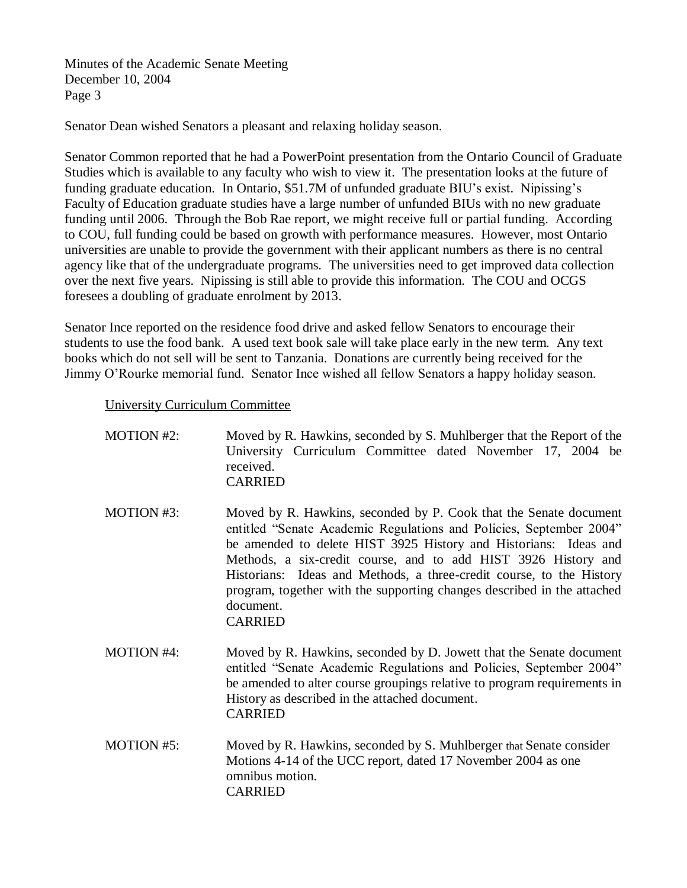Senator Dean wished Senators a pleasant and relaxing holiday season.

Senator Common reported that he had a PowerPoint presentation from the Ontario Council of Graduate Studies which is available to any faculty who wish to view it. The presentation looks at the future of funding graduate education. In Ontario, \$51.7M of unfunded graduate BIU's exist. Nipissing's Faculty of Education graduate studies have a large number of unfunded BIUs with no new graduate funding until 2006. Through the Bob Rae report, we might receive full or partial funding. According to COU, full funding could be based on growth with performance measures. However, most Ontario universities are unable to provide the government with their applicant numbers as there is no central agency like that of the undergraduate programs. The universities need to get improved data collection over the next five years. Nipissing is still able to provide this information. The COU and OCGS foresees a doubling of graduate enrolment by 2013.

Senator Ince reported on the residence food drive and asked fellow Senators to encourage their students to use the food bank. A used text book sale will take place early in the new term. Any text books which do not sell will be sent to Tanzania. Donations are currently being received for the Jimmy O'Rourke memorial fund. Senator Ince wished all fellow Senators a happy holiday season.

University Curriculum Committee

| <b>MOTION #2:</b> | Moved by R. Hawkins, seconded by S. Muhlberger that the Report of the<br>University Curriculum Committee dated November 17, 2004 be<br>received.<br><b>CARRIED</b>                                                                                                                                                                                                                                                                                               |
|-------------------|------------------------------------------------------------------------------------------------------------------------------------------------------------------------------------------------------------------------------------------------------------------------------------------------------------------------------------------------------------------------------------------------------------------------------------------------------------------|
| <b>MOTION #3:</b> | Moved by R. Hawkins, seconded by P. Cook that the Senate document<br>entitled "Senate Academic Regulations and Policies, September 2004"<br>be amended to delete HIST 3925 History and Historians: Ideas and<br>Methods, a six-credit course, and to add HIST 3926 History and<br>Historians: Ideas and Methods, a three-credit course, to the History<br>program, together with the supporting changes described in the attached<br>document.<br><b>CARRIED</b> |
| <b>MOTION #4:</b> | Moved by R. Hawkins, seconded by D. Jowett that the Senate document<br>entitled "Senate Academic Regulations and Policies, September 2004"<br>be amended to alter course groupings relative to program requirements in<br>History as described in the attached document.<br><b>CARRIED</b>                                                                                                                                                                       |
| <b>MOTION #5:</b> | Moved by R. Hawkins, seconded by S. Muhlberger that Senate consider<br>Motions 4-14 of the UCC report, dated 17 November 2004 as one<br>omnibus motion.<br><b>CARRIED</b>                                                                                                                                                                                                                                                                                        |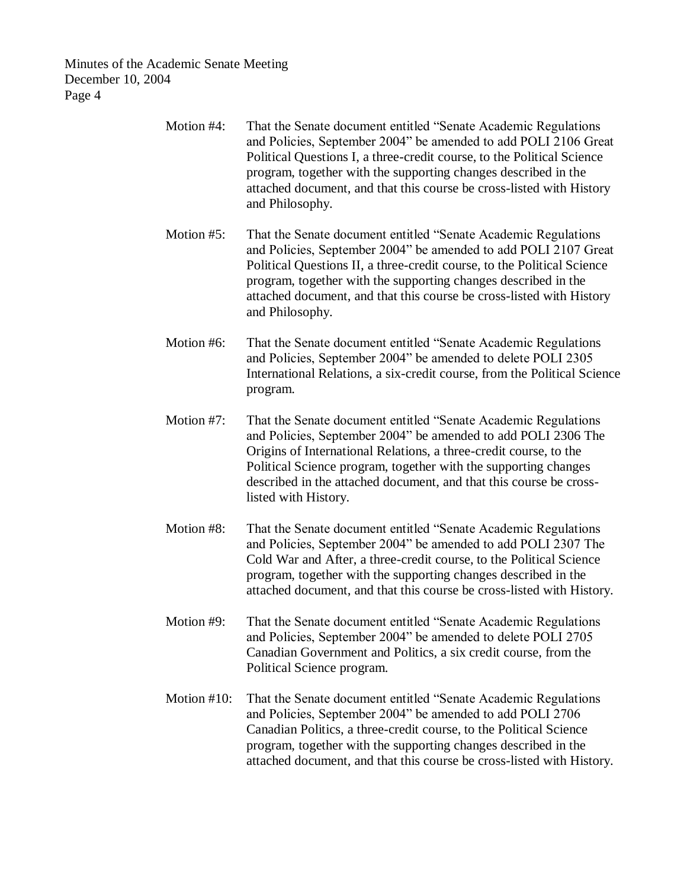| Motion #4:     | That the Senate document entitled "Senate Academic Regulations<br>and Policies, September 2004" be amended to add POLI 2106 Great<br>Political Questions I, a three-credit course, to the Political Science<br>program, together with the supporting changes described in the<br>attached document, and that this course be cross-listed with History<br>and Philosophy.   |
|----------------|----------------------------------------------------------------------------------------------------------------------------------------------------------------------------------------------------------------------------------------------------------------------------------------------------------------------------------------------------------------------------|
| Motion #5:     | That the Senate document entitled "Senate Academic Regulations"<br>and Policies, September 2004" be amended to add POLI 2107 Great<br>Political Questions II, a three-credit course, to the Political Science<br>program, together with the supporting changes described in the<br>attached document, and that this course be cross-listed with History<br>and Philosophy. |
| Motion #6:     | That the Senate document entitled "Senate Academic Regulations"<br>and Policies, September 2004" be amended to delete POLI 2305<br>International Relations, a six-credit course, from the Political Science<br>program.                                                                                                                                                    |
| Motion #7:     | That the Senate document entitled "Senate Academic Regulations"<br>and Policies, September 2004" be amended to add POLI 2306 The<br>Origins of International Relations, a three-credit course, to the<br>Political Science program, together with the supporting changes<br>described in the attached document, and that this course be cross-<br>listed with History.     |
| Motion #8:     | That the Senate document entitled "Senate Academic Regulations"<br>and Policies, September 2004" be amended to add POLI 2307 The<br>Cold War and After, a three-credit course, to the Political Science<br>program, together with the supporting changes described in the<br>attached document, and that this course be cross-listed with History.                         |
| Motion #9:     | That the Senate document entitled "Senate Academic Regulations"<br>and Policies, September 2004" be amended to delete POLI 2705<br>Canadian Government and Politics, a six credit course, from the<br>Political Science program.                                                                                                                                           |
| Motion $#10$ : | That the Senate document entitled "Senate Academic Regulations<br>and Policies, September 2004" be amended to add POLI 2706<br>Canadian Politics, a three-credit course, to the Political Science<br>program, together with the supporting changes described in the<br>attached document, and that this course be cross-listed with History.                               |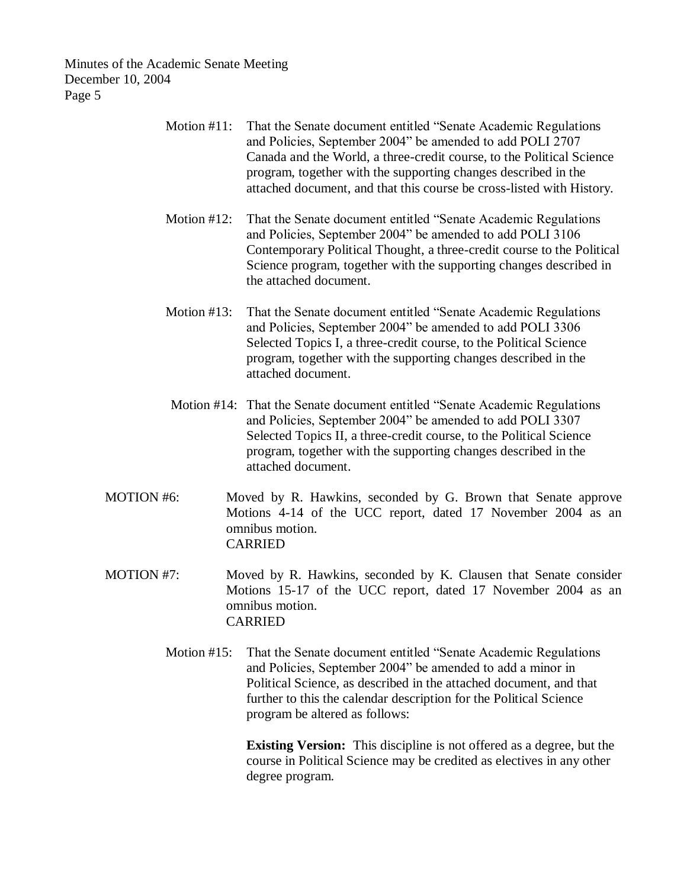- Motion #11: That the Senate document entitled "Senate Academic Regulations and Policies, September 2004" be amended to add POLI 2707 Canada and the World, a three-credit course, to the Political Science program, together with the supporting changes described in the attached document, and that this course be cross-listed with History.
- Motion #12: That the Senate document entitled "Senate Academic Regulations and Policies, September 2004" be amended to add POLI 3106 Contemporary Political Thought, a three-credit course to the Political Science program, together with the supporting changes described in the attached document.
- Motion #13: That the Senate document entitled "Senate Academic Regulations and Policies, September 2004" be amended to add POLI 3306 Selected Topics I, a three-credit course, to the Political Science program, together with the supporting changes described in the attached document.
- Motion #14: That the Senate document entitled "Senate Academic Regulations and Policies, September 2004" be amended to add POLI 3307 Selected Topics II, a three-credit course, to the Political Science program, together with the supporting changes described in the attached document.
- MOTION #6: Moved by R. Hawkins, seconded by G. Brown that Senate approve Motions 4-14 of the UCC report, dated 17 November 2004 as an omnibus motion. CARRIED
- MOTION #7: Moved by R. Hawkins, seconded by K. Clausen that Senate consider Motions 15-17 of the UCC report, dated 17 November 2004 as an omnibus motion. CARRIED
	- Motion #15: That the Senate document entitled "Senate Academic Regulations and Policies, September 2004" be amended to add a minor in Political Science, as described in the attached document, and that further to this the calendar description for the Political Science program be altered as follows:

**Existing Version:** This discipline is not offered as a degree, but the course in Political Science may be credited as electives in any other degree program.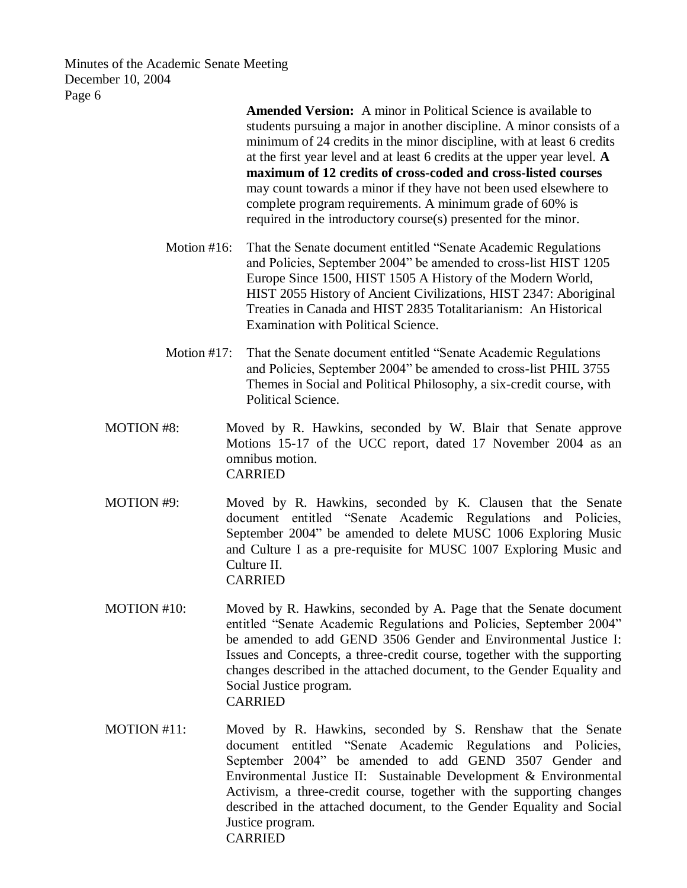> **Amended Version:** A minor in Political Science is available to students pursuing a major in another discipline. A minor consists of a minimum of 24 credits in the minor discipline, with at least 6 credits at the first year level and at least 6 credits at the upper year level. **A maximum of 12 credits of cross-coded and cross-listed courses** may count towards a minor if they have not been used elsewhere to complete program requirements. A minimum grade of 60% is required in the introductory course(s) presented for the minor.

- Motion #16: That the Senate document entitled "Senate Academic Regulations and Policies, September 2004" be amended to cross-list HIST 1205 Europe Since 1500, HIST 1505 A History of the Modern World, HIST 2055 History of Ancient Civilizations, HIST 2347: Aboriginal Treaties in Canada and HIST 2835 Totalitarianism: An Historical Examination with Political Science.
- Motion #17: That the Senate document entitled "Senate Academic Regulations and Policies, September 2004" be amended to cross-list PHIL 3755 Themes in Social and Political Philosophy, a six-credit course, with Political Science.
- MOTION #8: Moved by R. Hawkins, seconded by W. Blair that Senate approve Motions 15-17 of the UCC report, dated 17 November 2004 as an omnibus motion. CARRIED
- MOTION #9: Moved by R. Hawkins, seconded by K. Clausen that the Senate document entitled "Senate Academic Regulations and Policies, September 2004" be amended to delete MUSC 1006 Exploring Music and Culture I as a pre-requisite for MUSC 1007 Exploring Music and Culture II. CARRIED
- MOTION #10: Moved by R. Hawkins, seconded by A. Page that the Senate document entitled "Senate Academic Regulations and Policies, September 2004" be amended to add GEND 3506 Gender and Environmental Justice I: Issues and Concepts, a three-credit course, together with the supporting changes described in the attached document, to the Gender Equality and Social Justice program. CARRIED
- MOTION #11: Moved by R. Hawkins, seconded by S. Renshaw that the Senate document entitled "Senate Academic Regulations and Policies, September 2004" be amended to add GEND 3507 Gender and Environmental Justice II: Sustainable Development & Environmental Activism, a three-credit course, together with the supporting changes described in the attached document, to the Gender Equality and Social Justice program. CARRIED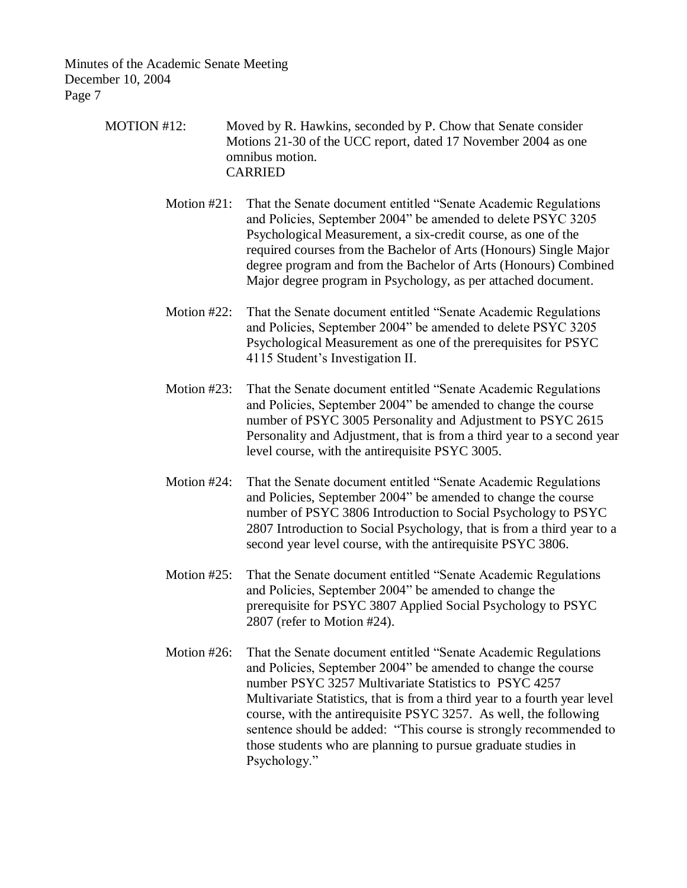> MOTION #12: Moved by R. Hawkins, seconded by P. Chow that Senate consider Motions 21-30 of the UCC report, dated 17 November 2004 as one omnibus motion. CARRIED

> > Motion #21: That the Senate document entitled "Senate Academic Regulations and Policies, September 2004" be amended to delete PSYC 3205 Psychological Measurement, a six-credit course, as one of the required courses from the Bachelor of Arts (Honours) Single Major degree program and from the Bachelor of Arts (Honours) Combined Major degree program in Psychology, as per attached document.

- Motion #22: That the Senate document entitled "Senate Academic Regulations and Policies, September 2004" be amended to delete PSYC 3205 Psychological Measurement as one of the prerequisites for PSYC 4115 Student's Investigation II.
- Motion #23: That the Senate document entitled "Senate Academic Regulations and Policies, September 2004" be amended to change the course number of PSYC 3005 Personality and Adjustment to PSYC 2615 Personality and Adjustment, that is from a third year to a second year level course, with the antirequisite PSYC 3005.
- Motion #24: That the Senate document entitled "Senate Academic Regulations and Policies, September 2004" be amended to change the course number of PSYC 3806 Introduction to Social Psychology to PSYC 2807 Introduction to Social Psychology, that is from a third year to a second year level course, with the antirequisite PSYC 3806.
- Motion #25: That the Senate document entitled "Senate Academic Regulations and Policies, September 2004" be amended to change the prerequisite for PSYC 3807 Applied Social Psychology to PSYC 2807 (refer to Motion #24).
- Motion #26: That the Senate document entitled "Senate Academic Regulations and Policies, September 2004" be amended to change the course number PSYC 3257 Multivariate Statistics to PSYC 4257 Multivariate Statistics, that is from a third year to a fourth year level course, with the antirequisite PSYC 3257. As well, the following sentence should be added: "This course is strongly recommended to those students who are planning to pursue graduate studies in Psychology."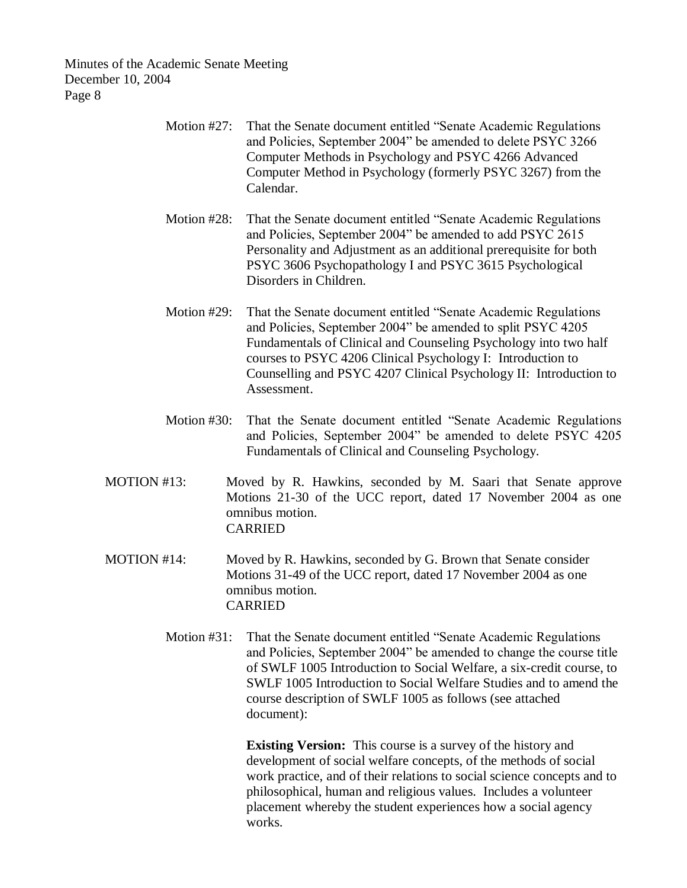- Motion #27: That the Senate document entitled "Senate Academic Regulations and Policies, September 2004" be amended to delete PSYC 3266 Computer Methods in Psychology and PSYC 4266 Advanced Computer Method in Psychology (formerly PSYC 3267) from the Calendar.
- Motion #28: That the Senate document entitled "Senate Academic Regulations and Policies, September 2004" be amended to add PSYC 2615 Personality and Adjustment as an additional prerequisite for both PSYC 3606 Psychopathology I and PSYC 3615 Psychological Disorders in Children.
- Motion #29: That the Senate document entitled "Senate Academic Regulations and Policies, September 2004" be amended to split PSYC 4205 Fundamentals of Clinical and Counseling Psychology into two half courses to PSYC 4206 Clinical Psychology I: Introduction to Counselling and PSYC 4207 Clinical Psychology II: Introduction to Assessment.
- Motion #30: That the Senate document entitled "Senate Academic Regulations and Policies, September 2004" be amended to delete PSYC 4205 Fundamentals of Clinical and Counseling Psychology.
- MOTION #13: Moved by R. Hawkins, seconded by M. Saari that Senate approve Motions 21-30 of the UCC report, dated 17 November 2004 as one omnibus motion. CARRIED
- MOTION #14: Moved by R. Hawkins, seconded by G. Brown that Senate consider Motions 31-49 of the UCC report, dated 17 November 2004 as one omnibus motion. CARRIED
	- Motion #31: That the Senate document entitled "Senate Academic Regulations and Policies, September 2004" be amended to change the course title of SWLF 1005 Introduction to Social Welfare, a six-credit course, to SWLF 1005 Introduction to Social Welfare Studies and to amend the course description of SWLF 1005 as follows (see attached document):

**Existing Version:** This course is a survey of the history and development of social welfare concepts, of the methods of social work practice, and of their relations to social science concepts and to philosophical, human and religious values. Includes a volunteer placement whereby the student experiences how a social agency works.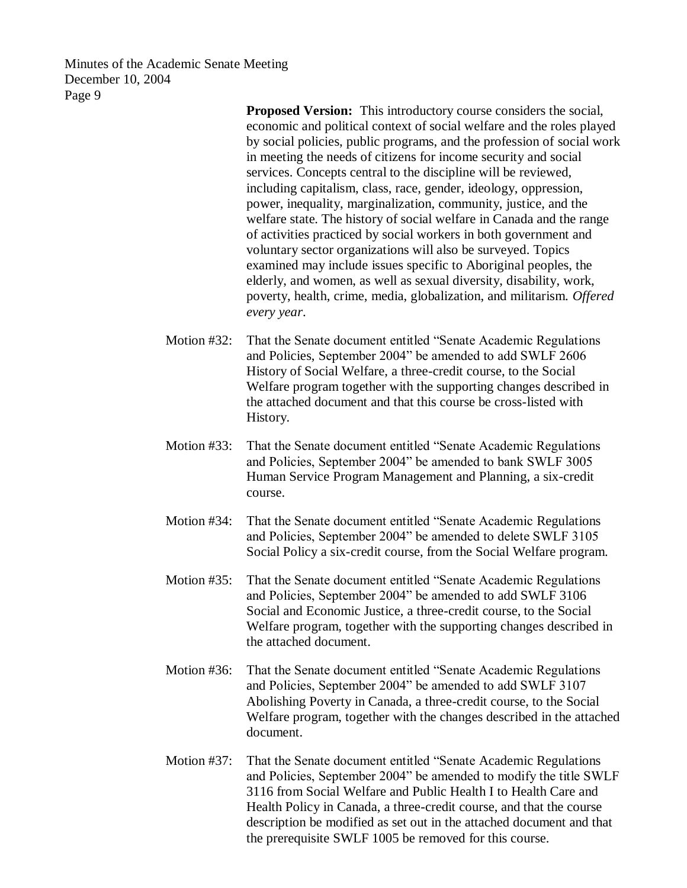> **Proposed Version:** This introductory course considers the social, economic and political context of social welfare and the roles played by social policies, public programs, and the profession of social work in meeting the needs of citizens for income security and social services. Concepts central to the discipline will be reviewed, including capitalism, class, race, gender, ideology, oppression, power, inequality, marginalization, community, justice, and the welfare state. The history of social welfare in Canada and the range of activities practiced by social workers in both government and voluntary sector organizations will also be surveyed. Topics examined may include issues specific to Aboriginal peoples, the elderly, and women, as well as sexual diversity, disability, work, poverty, health, crime, media, globalization, and militarism. *Offered every year*.

- Motion #32: That the Senate document entitled "Senate Academic Regulations and Policies, September 2004" be amended to add SWLF 2606 History of Social Welfare, a three-credit course, to the Social Welfare program together with the supporting changes described in the attached document and that this course be cross-listed with History.
- Motion #33: That the Senate document entitled "Senate Academic Regulations and Policies, September 2004" be amended to bank SWLF 3005 Human Service Program Management and Planning, a six-credit course.
- Motion #34: That the Senate document entitled "Senate Academic Regulations and Policies, September 2004" be amended to delete SWLF 3105 Social Policy a six-credit course, from the Social Welfare program.
- Motion #35: That the Senate document entitled "Senate Academic Regulations and Policies, September 2004" be amended to add SWLF 3106 Social and Economic Justice, a three-credit course, to the Social Welfare program, together with the supporting changes described in the attached document.
- Motion #36: That the Senate document entitled "Senate Academic Regulations and Policies, September 2004" be amended to add SWLF 3107 Abolishing Poverty in Canada, a three-credit course, to the Social Welfare program, together with the changes described in the attached document.
- Motion #37: That the Senate document entitled "Senate Academic Regulations and Policies, September 2004" be amended to modify the title SWLF 3116 from Social Welfare and Public Health I to Health Care and Health Policy in Canada, a three-credit course, and that the course description be modified as set out in the attached document and that the prerequisite SWLF 1005 be removed for this course.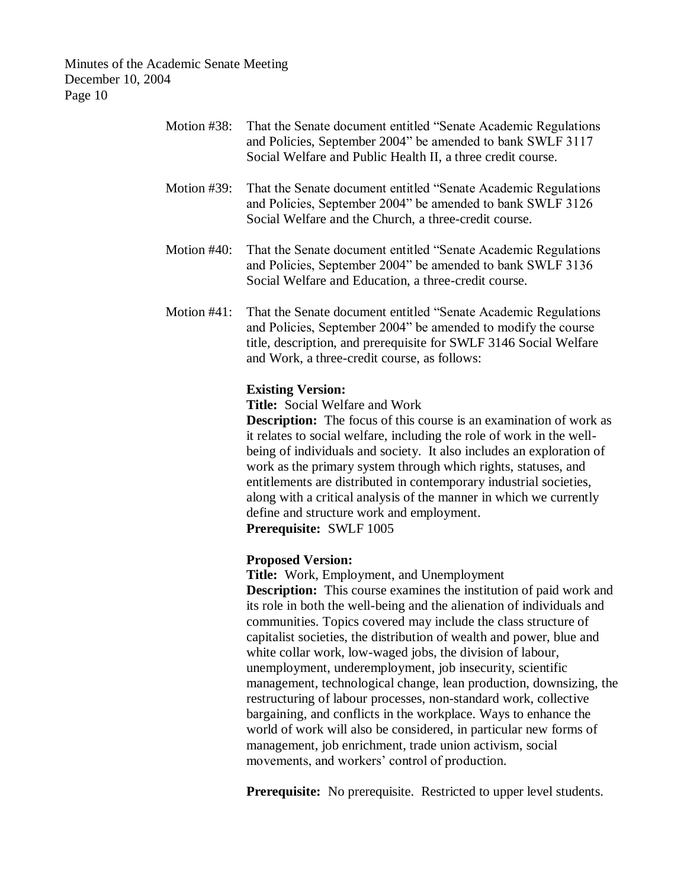| Motion #38: | That the Senate document entitled "Senate Academic Regulations<br>and Policies, September 2004" be amended to bank SWLF 3117<br>Social Welfare and Public Health II, a three credit course.                                                                                                                                                                                                                                                                                                                                                                                           |
|-------------|---------------------------------------------------------------------------------------------------------------------------------------------------------------------------------------------------------------------------------------------------------------------------------------------------------------------------------------------------------------------------------------------------------------------------------------------------------------------------------------------------------------------------------------------------------------------------------------|
| Motion #39: | That the Senate document entitled "Senate Academic Regulations"<br>and Policies, September 2004" be amended to bank SWLF 3126<br>Social Welfare and the Church, a three-credit course.                                                                                                                                                                                                                                                                                                                                                                                                |
| Motion #40: | That the Senate document entitled "Senate Academic Regulations<br>and Policies, September 2004" be amended to bank SWLF 3136<br>Social Welfare and Education, a three-credit course.                                                                                                                                                                                                                                                                                                                                                                                                  |
| Motion #41: | That the Senate document entitled "Senate Academic Regulations<br>and Policies, September 2004" be amended to modify the course<br>title, description, and prerequisite for SWLF 3146 Social Welfare<br>and Work, a three-credit course, as follows:                                                                                                                                                                                                                                                                                                                                  |
|             | <b>Existing Version:</b><br><b>Title:</b> Social Welfare and Work<br><b>Description:</b> The focus of this course is an examination of work as<br>it relates to social welfare, including the role of work in the well-<br>being of individuals and society. It also includes an exploration of<br>work as the primary system through which rights, statuses, and<br>entitlements are distributed in contemporary industrial societies,<br>along with a critical analysis of the manner in which we currently<br>define and structure work and employment.<br>Prerequisite: SWLF 1005 |
|             | <b>Proposed Version:</b><br>Title: Work, Employment, and Unemployment<br><b>Description:</b> This course examines the institution of paid work and<br>its role in both the well-being and the alienation of individuals and<br>communities. Topics covered may include the class structure of<br>capitalist societies, the distribution of wealth and power, blue and<br>white collar work, low-waged jobs, the division of labour,<br>unemployment, underemployment, job insecurity, scientific<br>management, technological change, lean production, downsizing, the                |

restructuring of labour processes, non-standard work, collective bargaining, and conflicts in the workplace. Ways to enhance the world of work will also be considered, in particular new forms of management, job enrichment, trade union activism, social movements, and workers' control of production.

**Prerequisite:** No prerequisite. Restricted to upper level students.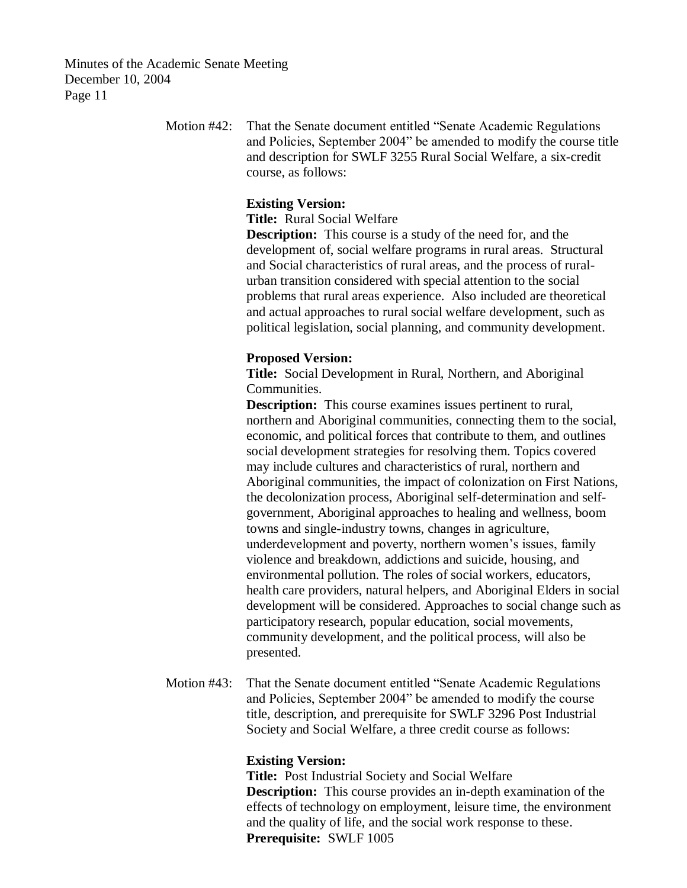> Motion #42: That the Senate document entitled "Senate Academic Regulations and Policies, September 2004" be amended to modify the course title and description for SWLF 3255 Rural Social Welfare, a six-credit course, as follows:

# **Existing Version:**

**Title:** Rural Social Welfare

**Description:** This course is a study of the need for, and the development of, social welfare programs in rural areas. Structural and Social characteristics of rural areas, and the process of ruralurban transition considered with special attention to the social problems that rural areas experience. Also included are theoretical and actual approaches to rural social welfare development, such as political legislation, social planning, and community development.

### **Proposed Version:**

**Title:** Social Development in Rural, Northern, and Aboriginal Communities.

**Description:** This course examines issues pertinent to rural, northern and Aboriginal communities, connecting them to the social, economic, and political forces that contribute to them, and outlines social development strategies for resolving them. Topics covered may include cultures and characteristics of rural, northern and Aboriginal communities, the impact of colonization on First Nations, the decolonization process, Aboriginal self-determination and selfgovernment, Aboriginal approaches to healing and wellness, boom towns and single-industry towns, changes in agriculture, underdevelopment and poverty, northern women's issues, family violence and breakdown, addictions and suicide, housing, and environmental pollution. The roles of social workers, educators, health care providers, natural helpers, and Aboriginal Elders in social development will be considered. Approaches to social change such as participatory research, popular education, social movements, community development, and the political process, will also be presented.

Motion #43: That the Senate document entitled "Senate Academic Regulations and Policies, September 2004" be amended to modify the course title, description, and prerequisite for SWLF 3296 Post Industrial Society and Social Welfare, a three credit course as follows:

#### **Existing Version:**

**Title:** Post Industrial Society and Social Welfare **Description:** This course provides an in-depth examination of the effects of technology on employment, leisure time, the environment and the quality of life, and the social work response to these. **Prerequisite:** SWLF 1005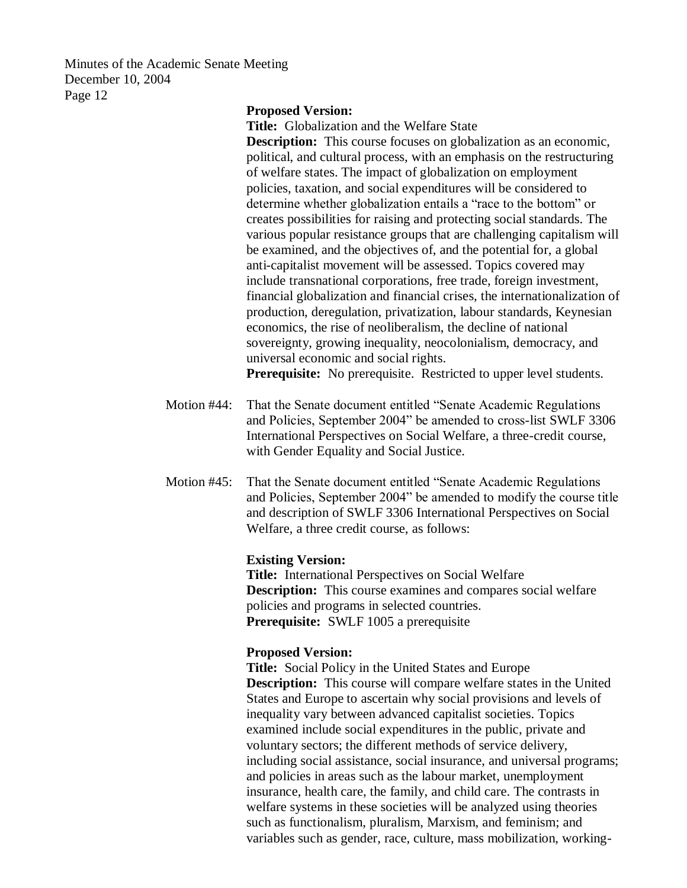### **Proposed Version:**

**Title:** Globalization and the Welfare State

**Description:** This course focuses on globalization as an economic, political, and cultural process, with an emphasis on the restructuring of welfare states. The impact of globalization on employment policies, taxation, and social expenditures will be considered to determine whether globalization entails a "race to the bottom" or creates possibilities for raising and protecting social standards. The various popular resistance groups that are challenging capitalism will be examined, and the objectives of, and the potential for, a global anti-capitalist movement will be assessed. Topics covered may include transnational corporations, free trade, foreign investment, financial globalization and financial crises, the internationalization of production, deregulation, privatization, labour standards, Keynesian economics, the rise of neoliberalism, the decline of national sovereignty, growing inequality, neocolonialism, democracy, and universal economic and social rights.

**Prerequisite:** No prerequisite. Restricted to upper level students.

- Motion #44: That the Senate document entitled "Senate Academic Regulations and Policies, September 2004" be amended to cross-list SWLF 3306 International Perspectives on Social Welfare, a three-credit course, with Gender Equality and Social Justice.
- Motion #45: That the Senate document entitled "Senate Academic Regulations and Policies, September 2004" be amended to modify the course title and description of SWLF 3306 International Perspectives on Social Welfare, a three credit course, as follows:

#### **Existing Version:**

**Title:** International Perspectives on Social Welfare **Description:** This course examines and compares social welfare policies and programs in selected countries. **Prerequisite:** SWLF 1005 a prerequisite

#### **Proposed Version:**

**Title:** Social Policy in the United States and Europe **Description:** This course will compare welfare states in the United States and Europe to ascertain why social provisions and levels of inequality vary between advanced capitalist societies. Topics examined include social expenditures in the public, private and voluntary sectors; the different methods of service delivery, including social assistance, social insurance, and universal programs; and policies in areas such as the labour market, unemployment insurance, health care, the family, and child care. The contrasts in welfare systems in these societies will be analyzed using theories such as functionalism, pluralism, Marxism, and feminism; and variables such as gender, race, culture, mass mobilization, working-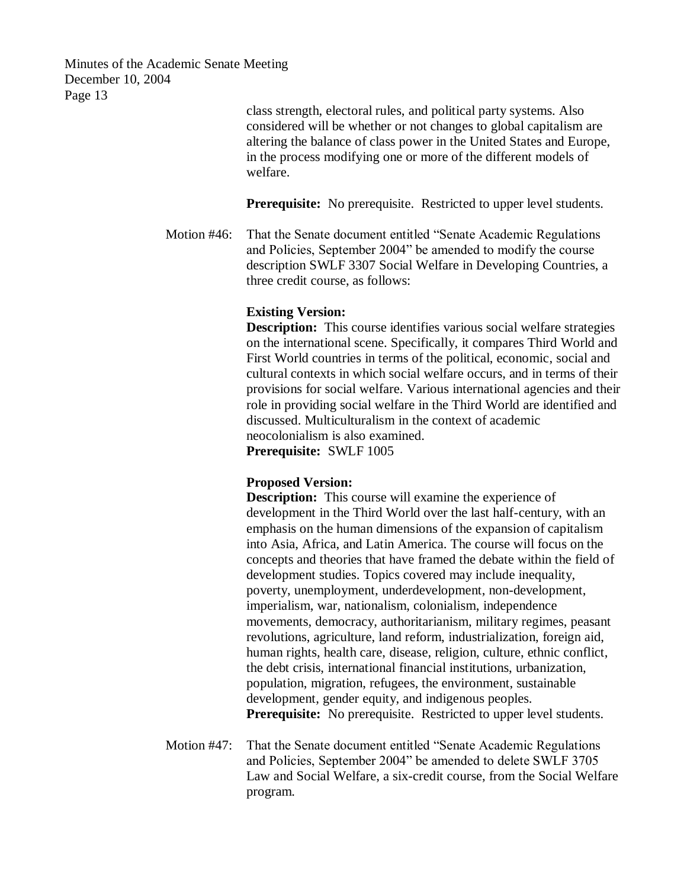> class strength, electoral rules, and political party systems. Also considered will be whether or not changes to global capitalism are altering the balance of class power in the United States and Europe, in the process modifying one or more of the different models of welfare.

**Prerequisite:** No prerequisite. Restricted to upper level students.

Motion #46: That the Senate document entitled "Senate Academic Regulations and Policies, September 2004" be amended to modify the course description SWLF 3307 Social Welfare in Developing Countries, a three credit course, as follows:

# **Existing Version:**

**Description:** This course identifies various social welfare strategies on the international scene. Specifically, it compares Third World and First World countries in terms of the political, economic, social and cultural contexts in which social welfare occurs, and in terms of their provisions for social welfare. Various international agencies and their role in providing social welfare in the Third World are identified and discussed. Multiculturalism in the context of academic neocolonialism is also examined.

**Prerequisite:** SWLF 1005

### **Proposed Version:**

**Description:** This course will examine the experience of development in the Third World over the last half-century, with an emphasis on the human dimensions of the expansion of capitalism into Asia, Africa, and Latin America. The course will focus on the concepts and theories that have framed the debate within the field of development studies. Topics covered may include inequality, poverty, unemployment, underdevelopment, non-development, imperialism, war, nationalism, colonialism, independence movements, democracy, authoritarianism, military regimes, peasant revolutions, agriculture, land reform, industrialization, foreign aid, human rights, health care, disease, religion, culture, ethnic conflict, the debt crisis, international financial institutions, urbanization, population, migration, refugees, the environment, sustainable development, gender equity, and indigenous peoples. **Prerequisite:** No prerequisite. Restricted to upper level students.

Motion #47: That the Senate document entitled "Senate Academic Regulations and Policies, September 2004" be amended to delete SWLF 3705 Law and Social Welfare, a six-credit course, from the Social Welfare program.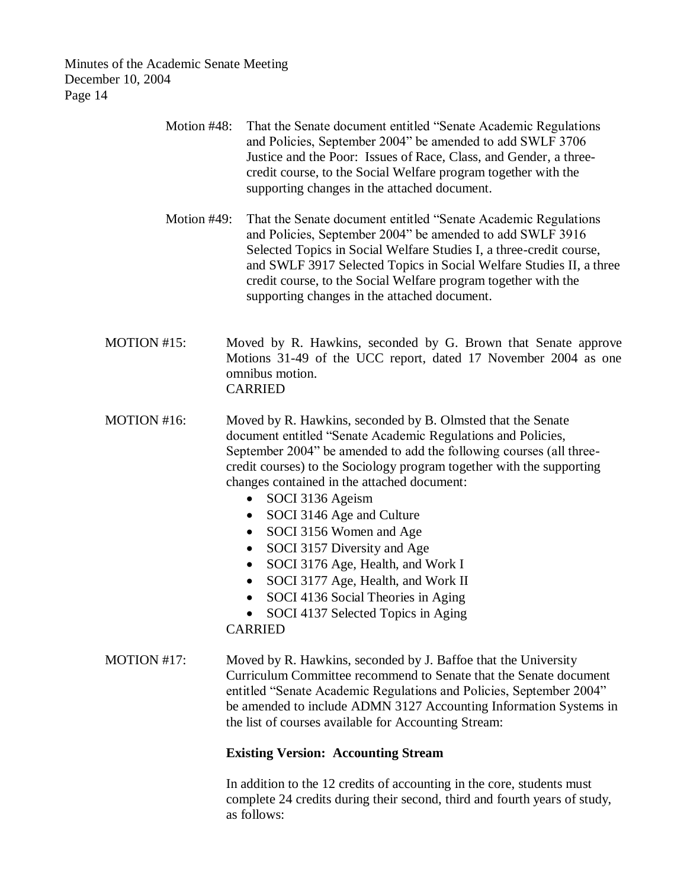| Motion $#48$ : | That the Senate document entitled "Senate Academic Regulations"<br>and Policies, September 2004" be amended to add SWLF 3706<br>Justice and the Poor: Issues of Race, Class, and Gender, a three-<br>credit course, to the Social Welfare program together with the<br>supporting changes in the attached document.                                                                                                                           |
|----------------|-----------------------------------------------------------------------------------------------------------------------------------------------------------------------------------------------------------------------------------------------------------------------------------------------------------------------------------------------------------------------------------------------------------------------------------------------|
| Motion $#49$ : | That the Senate document entitled "Senate Academic Regulations"<br>and Policies, September 2004" be amended to add SWLF 3916<br>Selected Topics in Social Welfare Studies I, a three-credit course,<br>and SWLF 3917 Selected Topics in Social Welfare Studies II, a three<br>credit course, to the Social Welfare program together with the<br>supporting changes in the attached document.                                                  |
| MOTION #15:    | Moved by R. Hawkins, seconded by G. Brown that Senate approve<br>Motions 31-49 of the UCC report, dated 17 November 2004 as one<br>omnibus motion.<br><b>CARRIED</b>                                                                                                                                                                                                                                                                          |
| MOTION #16:    | Moved by R. Hawkins, seconded by B. Olmsted that the Senate<br>document entitled "Senate Academic Regulations and Policies,<br>September 2004" be amended to add the following courses (all three-<br>credit courses) to the Sociology program together with the supporting<br>changes contained in the attached document:<br>SOCI 3136 Ageism<br>$\bullet$<br>SOCI 3146 Age and Culture<br>$\bullet$<br>SOCI 3156 Women and Age<br>$\bullet$ |

- SOCI 3157 Diversity and Age
- SOCI 3176 Age, Health, and Work I
- SOCI 3177 Age, Health, and Work II
- SOCI 4136 Social Theories in Aging
- SOCI 4137 Selected Topics in Aging

CARRIED

MOTION #17: Moved by R. Hawkins, seconded by J. Baffoe that the University Curriculum Committee recommend to Senate that the Senate document entitled "Senate Academic Regulations and Policies, September 2004" be amended to include ADMN 3127 Accounting Information Systems in the list of courses available for Accounting Stream:

# **Existing Version: Accounting Stream**

In addition to the 12 credits of accounting in the core, students must complete 24 credits during their second, third and fourth years of study, as follows: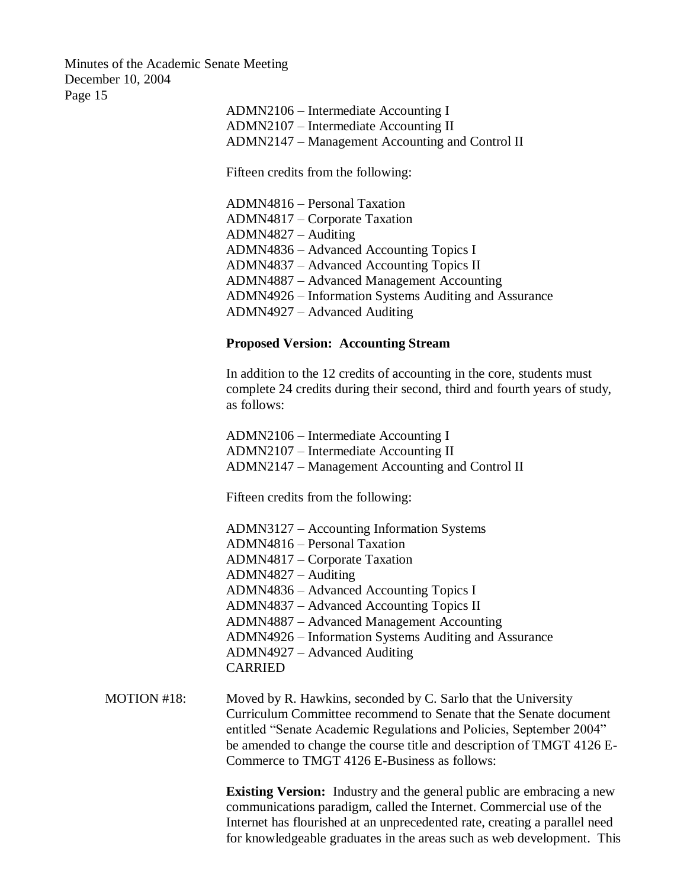> ADMN2106 – Intermediate Accounting I ADMN2107 – Intermediate Accounting II ADMN2147 – Management Accounting and Control II

Fifteen credits from the following:

ADMN4816 – Personal Taxation ADMN4817 – Corporate Taxation ADMN4827 – Auditing ADMN4836 – Advanced Accounting Topics I ADMN4837 – Advanced Accounting Topics II ADMN4887 – Advanced Management Accounting ADMN4926 – Information Systems Auditing and Assurance ADMN4927 – Advanced Auditing

## **Proposed Version: Accounting Stream**

In addition to the 12 credits of accounting in the core, students must complete 24 credits during their second, third and fourth years of study, as follows:

ADMN2106 – Intermediate Accounting I ADMN2107 – Intermediate Accounting II ADMN2147 – Management Accounting and Control II

Fifteen credits from the following:

- ADMN3127 Accounting Information Systems ADMN4816 – Personal Taxation ADMN4817 – Corporate Taxation ADMN4827 – Auditing ADMN4836 – Advanced Accounting Topics I ADMN4837 – Advanced Accounting Topics II ADMN4887 – Advanced Management Accounting ADMN4926 – Information Systems Auditing and Assurance ADMN4927 – Advanced Auditing CARRIED
- MOTION #18: Moved by R. Hawkins, seconded by C. Sarlo that the University Curriculum Committee recommend to Senate that the Senate document entitled "Senate Academic Regulations and Policies, September 2004" be amended to change the course title and description of TMGT 4126 E-Commerce to TMGT 4126 E-Business as follows:

**Existing Version:** Industry and the general public are embracing a new communications paradigm, called the Internet. Commercial use of the Internet has flourished at an unprecedented rate, creating a parallel need for knowledgeable graduates in the areas such as web development. This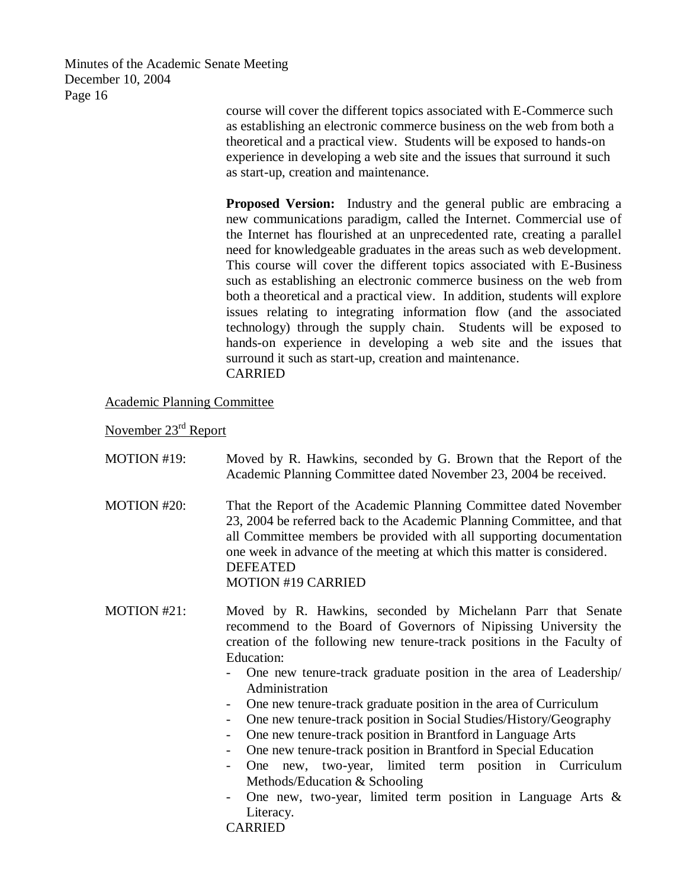> course will cover the different topics associated with E-Commerce such as establishing an electronic commerce business on the web from both a theoretical and a practical view. Students will be exposed to hands-on experience in developing a web site and the issues that surround it such as start-up, creation and maintenance.

**Proposed Version:** Industry and the general public are embracing a new communications paradigm, called the Internet. Commercial use of the Internet has flourished at an unprecedented rate, creating a parallel need for knowledgeable graduates in the areas such as web development. This course will cover the different topics associated with E-Business such as establishing an electronic commerce business on the web from both a theoretical and a practical view. In addition, students will explore issues relating to integrating information flow (and the associated technology) through the supply chain. Students will be exposed to hands-on experience in developing a web site and the issues that surround it such as start-up, creation and maintenance. CARRIED

Academic Planning Committee

November 23rd Report

- MOTION #19: Moved by R. Hawkins, seconded by G. Brown that the Report of the Academic Planning Committee dated November 23, 2004 be received. MOTION #20: That the Report of the Academic Planning Committee dated November 23, 2004 be referred back to the Academic Planning Committee, and that all Committee members be provided with all supporting documentation one week in advance of the meeting at which this matter is considered. DEFEATED MOTION #19 CARRIED
- MOTION #21: Moved by R. Hawkins, seconded by Michelann Parr that Senate recommend to the Board of Governors of Nipissing University the creation of the following new tenure-track positions in the Faculty of Education:
	- One new tenure-track graduate position in the area of Leadership/ Administration
	- One new tenure-track graduate position in the area of Curriculum
	- One new tenure-track position in Social Studies/History/Geography
	- One new tenure-track position in Brantford in Language Arts
	- One new tenure-track position in Brantford in Special Education
	- One new, two-year, limited term position in Curriculum Methods/Education & Schooling
	- One new, two-year, limited term position in Language Arts & Literacy.

CARRIED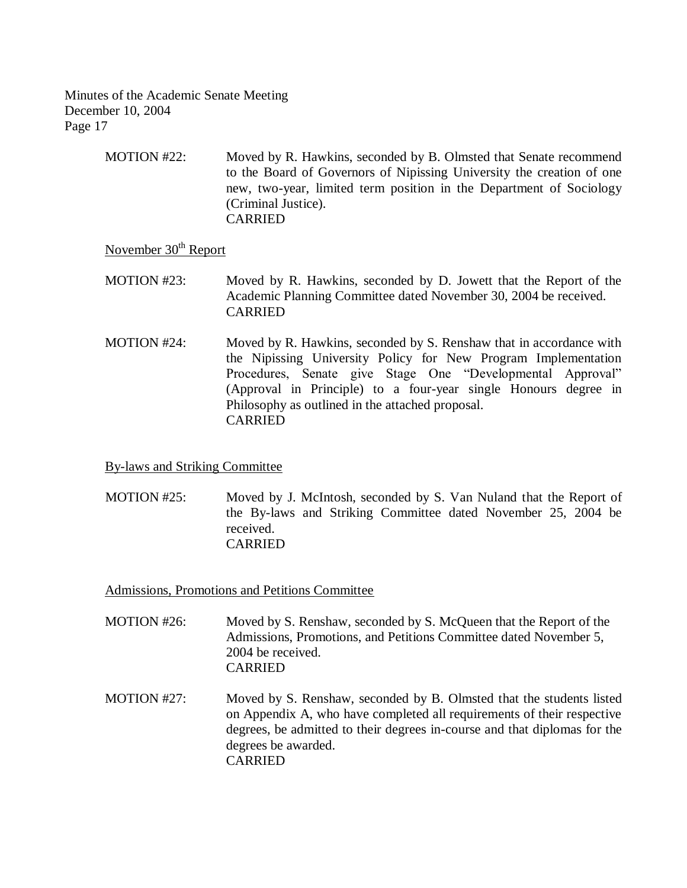> MOTION #22: Moved by R. Hawkins, seconded by B. Olmsted that Senate recommend to the Board of Governors of Nipissing University the creation of one new, two-year, limited term position in the Department of Sociology (Criminal Justice). CARRIED

# November 30<sup>th</sup> Report

MOTION #23: Moved by R. Hawkins, seconded by D. Jowett that the Report of the Academic Planning Committee dated November 30, 2004 be received. CARRIED

MOTION #24: Moved by R. Hawkins, seconded by S. Renshaw that in accordance with the Nipissing University Policy for New Program Implementation Procedures, Senate give Stage One "Developmental Approval" (Approval in Principle) to a four-year single Honours degree in Philosophy as outlined in the attached proposal. CARRIED

# By-laws and Striking Committee

 MOTION #25: Moved by J. McIntosh, seconded by S. Van Nuland that the Report of the By-laws and Striking Committee dated November 25, 2004 be received. CARRIED

Admissions, Promotions and Petitions Committee

- MOTION #26: Moved by S. Renshaw, seconded by S. McQueen that the Report of the Admissions, Promotions, and Petitions Committee dated November 5, 2004 be received. CARRIED
- MOTION #27: Moved by S. Renshaw, seconded by B. Olmsted that the students listed on Appendix A, who have completed all requirements of their respective degrees, be admitted to their degrees in-course and that diplomas for the degrees be awarded. CARRIED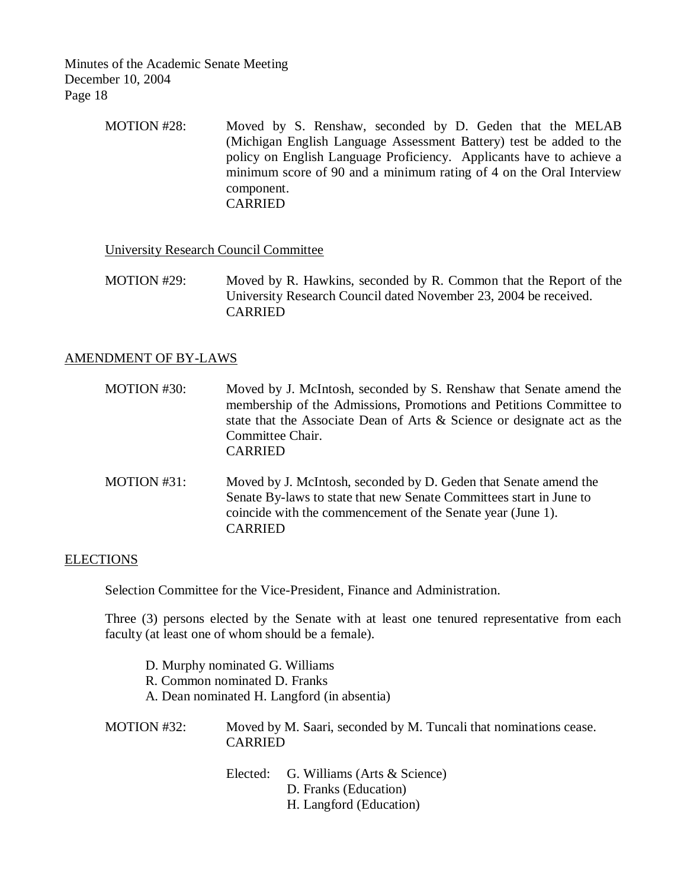> MOTION #28: Moved by S. Renshaw, seconded by D. Geden that the MELAB (Michigan English Language Assessment Battery) test be added to the policy on English Language Proficiency. Applicants have to achieve a minimum score of 90 and a minimum rating of 4 on the Oral Interview component. CARRIED

University Research Council Committee

MOTION #29: Moved by R. Hawkins, seconded by R. Common that the Report of the University Research Council dated November 23, 2004 be received. CARRIED

# AMENDMENT OF BY-LAWS

- MOTION #30: Moved by J. McIntosh, seconded by S. Renshaw that Senate amend the membership of the Admissions, Promotions and Petitions Committee to state that the Associate Dean of Arts & Science or designate act as the Committee Chair. CARRIED
- MOTION #31: Moved by J. McIntosh, seconded by D. Geden that Senate amend the Senate By-laws to state that new Senate Committees start in June to coincide with the commencement of the Senate year (June 1). CARRIED

# ELECTIONS

Selection Committee for the Vice-President, Finance and Administration.

Three (3) persons elected by the Senate with at least one tenured representative from each faculty (at least one of whom should be a female).

| D. Murphy nominated G. Williams             |
|---------------------------------------------|
| R. Common nominated D. Franks               |
| A. Dean nominated H. Langford (in absentia) |
|                                             |

MOTION #32: Moved by M. Saari, seconded by M. Tuncali that nominations cease. CARRIED

> Elected: G. Williams (Arts & Science) D. Franks (Education) H. Langford (Education)